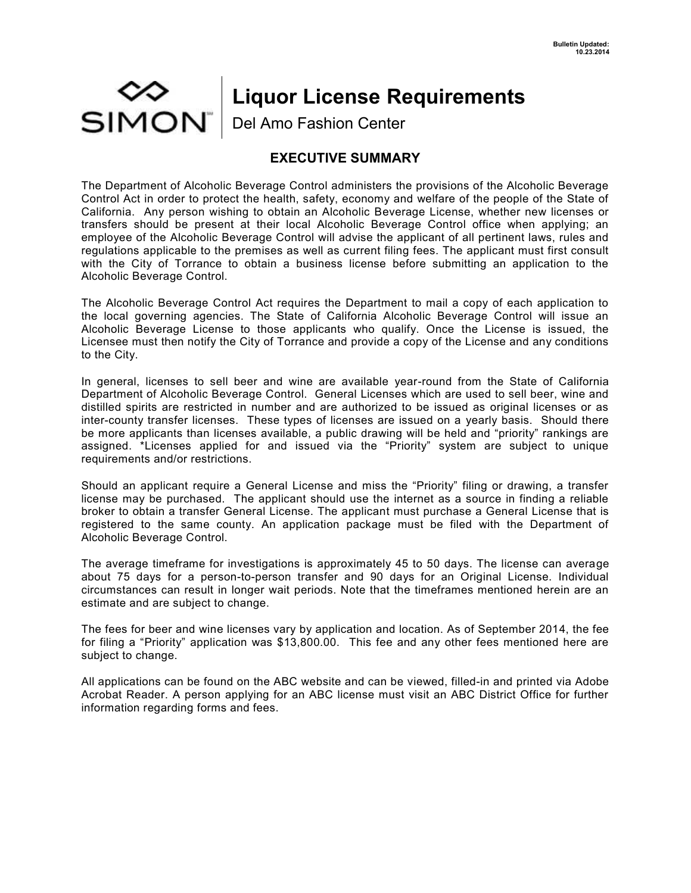## MON⊃<br>SIMON **Liquor License Requirements** Del Amo Fashion Center

## **EXECUTIVE SUMMARY**

The Department of Alcoholic Beverage Control administers the provisions of the Alcoholic Beverage Control Act in order to protect the health, safety, economy and welfare of the people of the State of California. Any person wishing to obtain an Alcoholic Beverage License, whether new licenses or transfers should be present at their local Alcoholic Beverage Control office when applying; an employee of the Alcoholic Beverage Control will advise the applicant of all pertinent laws, rules and regulations applicable to the premises as well as current filing fees. The applicant must first consult with the City of Torrance to obtain a business license before submitting an application to the Alcoholic Beverage Control.

The Alcoholic Beverage Control Act requires the Department to mail a copy of each application to the local governing agencies. The State of California Alcoholic Beverage Control will issue an Alcoholic Beverage License to those applicants who qualify. Once the License is issued, the Licensee must then notify the City of Torrance and provide a copy of the License and any conditions to the City.

In general, licenses to sell beer and wine are available year-round from the State of California Department of Alcoholic Beverage Control. General Licenses which are used to sell beer, wine and distilled spirits are restricted in number and are authorized to be issued as original licenses or as inter-county transfer licenses. These types of licenses are issued on a yearly basis. Should there be more applicants than licenses available, a public drawing will be held and "priority" rankings are assigned. \*Licenses applied for and issued via the "Priority" system are subject to unique requirements and/or restrictions.

Should an applicant require a General License and miss the "Priority" filing or drawing, a transfer license may be purchased. The applicant should use the internet as a source in finding a reliable broker to obtain a transfer General License. The applicant must purchase a General License that is registered to the same county. An application package must be filed with the Department of Alcoholic Beverage Control.

The average timeframe for investigations is approximately 45 to 50 days. The license can average about 75 days for a person-to-person transfer and 90 days for an Original License. Individual circumstances can result in longer wait periods. Note that the timeframes mentioned herein are an estimate and are subject to change.

The fees for beer and wine licenses vary by application and location. As of September 2014, the fee for filing a "Priority" application was \$13,800.00. This fee and any other fees mentioned here are subject to change.

All applications can be found on the ABC website and can be viewed, filled-in and printed via Adobe Acrobat Reader. A person applying for an ABC license must visit an ABC District Office for further information regarding forms and fees.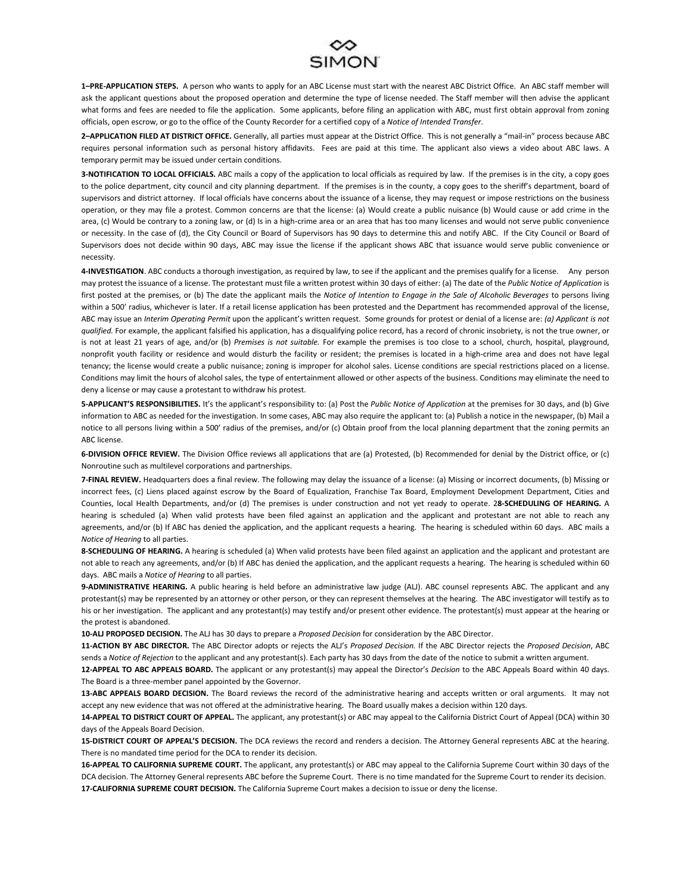

**1–PRE-APPLICATION STEPS.** A person who wants to apply for an ABC License must start with the nearest ABC District Office. An ABC staff member will ask the applicant questions about the proposed operation and determine the type of license needed. The Staff member will then advise the applicant what forms and fees are needed to file the application. Some applicants, before filing an application with ABC, must first obtain approval from zoning officials, open escrow, or go to the office of the County Recorder for a certified copy of a *Notice of Intended Transfer*.

**2–APPLICATION FILED AT DISTRICT OFFICE.** Generally, all parties must appear at the District Office. This is not generally a "mail-in" process because ABC requires personal information such as personal history affidavits. Fees are paid at this time. The applicant also views a video about ABC laws. A temporary permit may be issued under certain conditions.

**3-NOTIFICATION TO LOCAL OFFICIALS.** ABC mails a copy of the application to local officials as required by law. If the premises is in the city, a copy goes to the police department, city council and city planning department. If the premises is in the county, a copy goes to the sheriff's department, board of supervisors and district attorney. If local officials have concerns about the issuance of a license, they may request or impose restrictions on the business operation, or they may file a protest. Common concerns are that the license: (a) Would create a public nuisance (b) Would cause or add crime in the area, (c) Would be contrary to a zoning law, or (d) Is in a high-crime area or an area that has too many licenses and would not serve public convenience or necessity. In the case of (d), the City Council or Board of Supervisors has 90 days to determine this and notify ABC. If the City Council or Board of Supervisors does not decide within 90 days, ABC may issue the license if the applicant shows ABC that issuance would serve public convenience or necessity.

**4-INVESTIGATION**. ABC conducts a thorough investigation, as required by law, to see if the applicant and the premises qualify for a license. Any person may protest the issuance of a license. The protestant must file a written protest within 30 days of either: (a) The date of the *Public Notice of Application* is first posted at the premises, or (b) The date the applicant mails the *Notice of Intention to Engage in the Sale of Alcoholic Beverages* to persons living within a 500' radius, whichever is later. If a retail license application has been protested and the Department has recommended approval of the license, ABC may issue an *Interim Operating Permit* upon the applicant's written request. Some grounds for protest or denial of a license are: *(a) Applicant is not qualified.* For example, the applicant falsified his application, has a disqualifying police record, has a record of chronic insobriety, is not the true owner, or is not at least 21 years of age, and/or (b) *Premises is not suitable.* For example the premises is too close to a school, church, hospital, playground, nonprofit youth facility or residence and would disturb the facility or resident; the premises is located in a high-crime area and does not have legal tenancy; the license would create a public nuisance; zoning is improper for alcohol sales. License conditions are special restrictions placed on a license. Conditions may limit the hours of alcohol sales, the type of entertainment allowed or other aspects of the business. Conditions may eliminate the need to deny a license or may cause a protestant to withdraw his protest.

**5-APPLICANT'S RESPONSIBILITIES.** It's the applicant's responsibility to: (a) Post the *Public Notice of Application* at the premises for 30 days, and (b) Give information to ABC as needed for the investigation. In some cases, ABC may also require the applicant to: (a) Publish a notice in the newspaper, (b) Mail a notice to all persons living within a 500' radius of the premises, and/or (c) Obtain proof from the local planning department that the zoning permits an ABC license.

**6-DIVISION OFFICE REVIEW.** The Division Office reviews all applications that are (a) Protested, (b) Recommended for denial by the District office, or (c) Nonroutine such as multilevel corporations and partnerships.

**7-FINAL REVIEW.** Headquarters does a final review. The following may delay the issuance of a license: (a) Missing or incorrect documents, (b) Missing or incorrect fees, (c) Liens placed against escrow by the Board of Equalization, Franchise Tax Board, Employment Development Department, Cities and Counties, local Health Departments, and/or (d) The premises is under construction and not yet ready to operate. 2**8-SCHEDULING OF HEARING.** A hearing is scheduled (a) When valid protests have been filed against an application and the applicant and protestant are not able to reach any agreements, and/or (b) If ABC has denied the application, and the applicant requests a hearing. The hearing is scheduled within 60 days. ABC mails a *Notice of Hearing* to all parties.

8-SCHEDULING OF HEARING. A hearing is scheduled (a) When valid protests have been filed against an application and the applicant and protestant are not able to reach any agreements, and/or (b) If ABC has denied the application, and the applicant requests a hearing. The hearing is scheduled within 60 days. ABC mails a *Notice of Hearing* to all parties.

**9-ADMINISTRATIVE HEARING.** A public hearing is held before an administrative law judge (ALJ). ABC counsel represents ABC. The applicant and any protestant(s) may be represented by an attorney or other person, or they can represent themselves at the hearing. The ABC investigator will testify as to his or her investigation. The applicant and any protestant(s) may testify and/or present other evidence. The protestant(s) must appear at the hearing or the protest is abandoned.

**10-ALJ PROPOSED DECISION.** The ALJ has 30 days to prepare a *Proposed Decision* for consideration by the ABC Director.

**11-ACTION BY ABC DIRECTOR.** The ABC Director adopts or rejects the ALJ's *Proposed Decision.* If the ABC Director rejects the *Proposed Decision*, ABC sends a *Notice of Rejection* to the applicant and any protestant(s). Each party has 30 days from the date of the notice to submit a written argument.

**12-APPEAL TO ABC APPEALS BOARD.** The applicant or any protestant(s) may appeal the Director's *Decision* to the ABC Appeals Board within 40 days. The Board is a three-member panel appointed by the Governor.

13-ABC APPEALS BOARD DECISION. The Board reviews the record of the administrative hearing and accepts written or oral arguments. It may not accept any new evidence that was not offered at the administrative hearing. The Board usually makes a decision within 120 days.

**14-APPEAL TO DISTRICT COURT OF APPEAL.** The applicant, any protestant(s) or ABC may appeal to the California District Court of Appeal (DCA) within 30 days of the Appeals Board Decision.

**15-DISTRICT COURT OF APPEAL'S DECISION.** The DCA reviews the record and renders a decision. The Attorney General represents ABC at the hearing. There is no mandated time period for the DCA to render its decision.

**16-APPEAL TO CALIFORNIA SUPREME COURT.** The applicant, any protestant(s) or ABC may appeal to the California Supreme Court within 30 days of the DCA decision. The Attorney General represents ABC before the Supreme Court. There is no time mandated for the Supreme Court to render its decision. **17-CALIFORNIA SUPREME COURT DECISION.** The California Supreme Court makes a decision to issue or deny the license.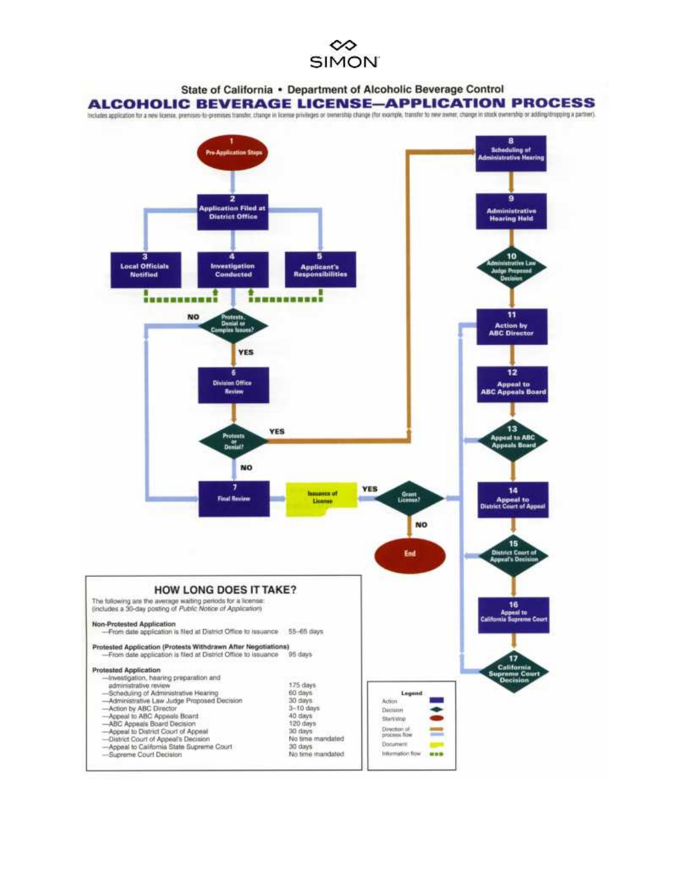